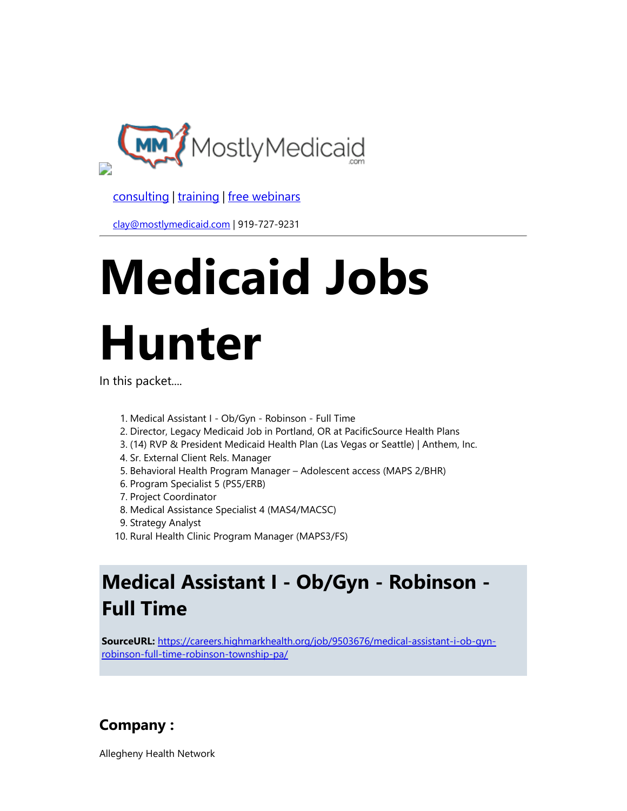

[consulting](http://bit.ly/2L815p0) | [training](http://bit.ly/2zL1l4r) | [free webinars](http://bit.ly/2ccl593) 

[clay@mostlymedicaid.com](mailto:clay@mostlymedicaid.com) | 919-727-9231

# Medicaid Jobs Hunter

In this packet....

- 1. Medical Assistant I Ob/Gyn Robinson Full Time
- 2. Director, Legacy Medicaid Job in Portland, OR at PacificSource Health Plans
- 3. (14) RVP & President Medicaid Health Plan (Las Vegas or Seattle) | Anthem, Inc.
- 4. Sr. External Client Rels. Manager
- 5. Behavioral Health Program Manager Adolescent access (MAPS 2/BHR)
- 6. Program Specialist 5 (PS5/ERB)
- 7. Project Coordinator
- 8. Medical Assistance Specialist 4 (MAS4/MACSC)
- 9. Strategy Analyst
- 10. Rural Health Clinic Program Manager (MAPS3/FS)

# Medical Assistant I - Ob/Gyn - Robinson - Full Time

SourceURL: [https://careers.highmarkhealth.org/job/9503676/medical-assistant-i-ob-gyn](https://careers.highmarkhealth.org/job/9503676/medical-assistant-i-ob-gyn-robinson-full-time-robinson-township-pa/)robinson-full-time-robinson-township-pa/

### Company :

Allegheny Health Network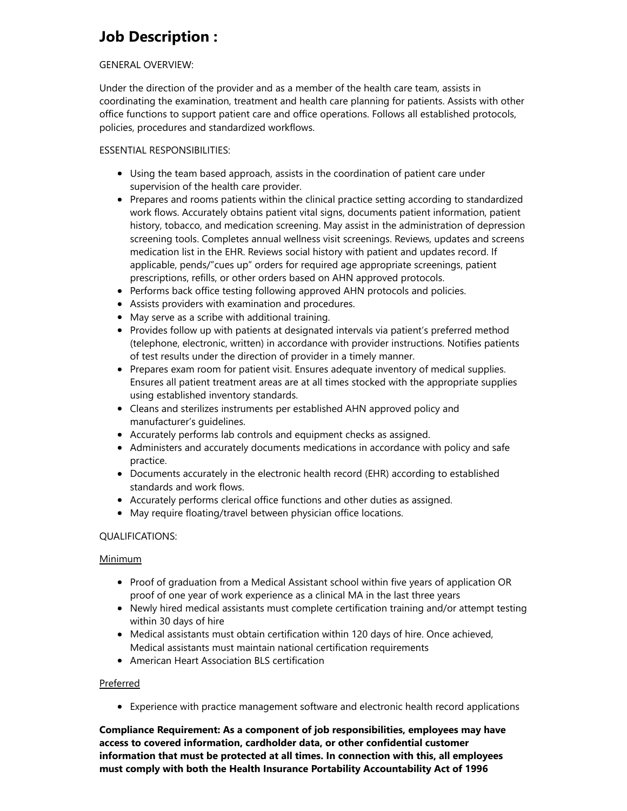### Job Description :

#### GENERAL OVERVIEW:

Under the direction of the provider and as a member of the health care team, assists in coordinating the examination, treatment and health care planning for patients. Assists with other office functions to support patient care and office operations. Follows all established protocols, policies, procedures and standardized workflows.

#### ESSENTIAL RESPONSIBILITIES:

- Using the team based approach, assists in the coordination of patient care under supervision of the health care provider.
- Prepares and rooms patients within the clinical practice setting according to standardized work flows. Accurately obtains patient vital signs, documents patient information, patient history, tobacco, and medication screening. May assist in the administration of depression screening tools. Completes annual wellness visit screenings. Reviews, updates and screens medication list in the EHR. Reviews social history with patient and updates record. If applicable, pends/"cues up" orders for required age appropriate screenings, patient prescriptions, refills, or other orders based on AHN approved protocols.
- Performs back office testing following approved AHN protocols and policies.
- Assists providers with examination and procedures.
- May serve as a scribe with additional training.
- Provides follow up with patients at designated intervals via patient's preferred method (telephone, electronic, written) in accordance with provider instructions. Notifies patients of test results under the direction of provider in a timely manner.
- Prepares exam room for patient visit. Ensures adequate inventory of medical supplies. Ensures all patient treatment areas are at all times stocked with the appropriate supplies using established inventory standards.
- Cleans and sterilizes instruments per established AHN approved policy and manufacturer's guidelines.
- Accurately performs lab controls and equipment checks as assigned.
- Administers and accurately documents medications in accordance with policy and safe practice.
- Documents accurately in the electronic health record (EHR) according to established standards and work flows.
- Accurately performs clerical office functions and other duties as assigned.
- May require floating/travel between physician office locations.

#### QUALIFICATIONS:

#### Minimum

- Proof of graduation from a Medical Assistant school within five years of application OR proof of one year of work experience as a clinical MA in the last three years
- Newly hired medical assistants must complete certification training and/or attempt testing within 30 days of hire
- Medical assistants must obtain certification within 120 days of hire. Once achieved, Medical assistants must maintain national certification requirements
- American Heart Association BLS certification

#### Preferred

Experience with practice management software and electronic health record applications

Compliance Requirement: As a component of job responsibilities, employees may have access to covered information, cardholder data, or other confidential customer information that must be protected at all times. In connection with this, all employees must comply with both the Health Insurance Portability Accountability Act of 1996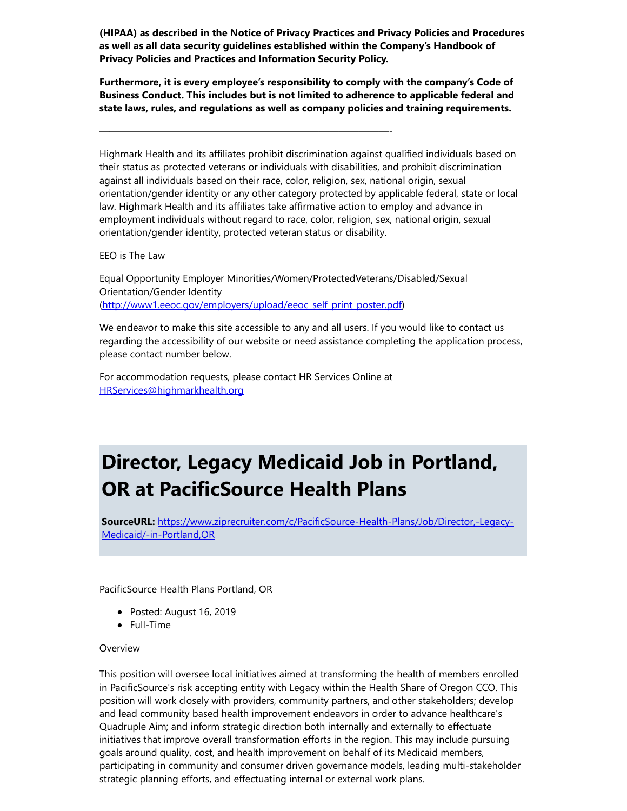(HIPAA) as described in the Notice of Privacy Practices and Privacy Policies and Procedures as well as all data security guidelines established within the Company's Handbook of Privacy Policies and Practices and Information Security Policy.

Furthermore, it is every employee's responsibility to comply with the company's Code of Business Conduct. This includes but is not limited to adherence to applicable federal and state laws, rules, and regulations as well as company policies and training requirements.

Highmark Health and its affiliates prohibit discrimination against qualified individuals based on their status as protected veterans or individuals with disabilities, and prohibit discrimination against all individuals based on their race, color, religion, sex, national origin, sexual orientation/gender identity or any other category protected by applicable federal, state or local law. Highmark Health and its affiliates take affirmative action to employ and advance in employment individuals without regard to race, color, religion, sex, national origin, sexual orientation/gender identity, protected veteran status or disability.

EEO is The Law

Equal Opportunity Employer Minorities/Women/ProtectedVeterans/Disabled/Sexual Orientation/Gender Identity ([http://www1.eeoc.gov/employers/upload/eeoc\\_self\\_print\\_poster.pdf\)](http://www1.eeoc.gov/employers/upload/eeoc_self_print_poster.pdf)

We endeavor to make this site accessible to any and all users. If you would like to contact us regarding the accessibility of our website or need assistance completing the application process, please contact number below.

For accommodation requests, please contact HR Services Online at [HRServices@highmarkhealth.org](https://careers.highmarkhealth.org/job/9503676/medical-assistant-i-ob-gyn-robinson-full-time-robinson-township-pa/mailto:HRServices%40highmarkhealth.org)

—————————————————————————————-

# Director, Legacy Medicaid Job in Portland, OR at PacificSource Health Plans

SourceURL: [https://www.ziprecruiter.com/c/PacificSource-Health-Plans/Job/Director,-Legacy-](https://www.ziprecruiter.com/c/PacificSource-Health-Plans/Job/Director%2C-Legacy-Medicaid/-in-Portland%2COR)Medicaid/-in-Portland,OR

PacificSource Health Plans Portland, OR

- Posted: August 16, 2019
- Full-Time

#### **Overview**

This position will oversee local initiatives aimed at transforming the health of members enrolled in PacificSource's risk accepting entity with Legacy within the Health Share of Oregon CCO. This position will work closely with providers, community partners, and other stakeholders; develop and lead community based health improvement endeavors in order to advance healthcare's Quadruple Aim; and inform strategic direction both internally and externally to effectuate initiatives that improve overall transformation efforts in the region. This may include pursuing goals around quality, cost, and health improvement on behalf of its Medicaid members, participating in community and consumer driven governance models, leading multi-stakeholder strategic planning efforts, and effectuating internal or external work plans.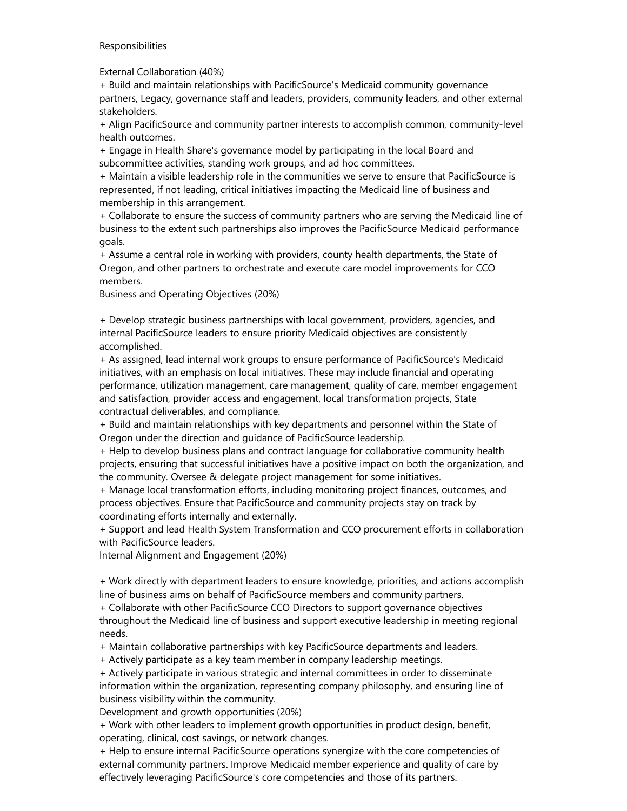#### Responsibilities

External Collaboration (40%)

+ Build and maintain relationships with PacificSource's Medicaid community governance partners, Legacy, governance staff and leaders, providers, community leaders, and other external stakeholders.

+ Align PacificSource and community partner interests to accomplish common, community-level health outcomes.

+ Engage in Health Share's governance model by participating in the local Board and subcommittee activities, standing work groups, and ad hoc committees.

+ Maintain a visible leadership role in the communities we serve to ensure that PacificSource is represented, if not leading, critical initiatives impacting the Medicaid line of business and membership in this arrangement.

+ Collaborate to ensure the success of community partners who are serving the Medicaid line of business to the extent such partnerships also improves the PacificSource Medicaid performance goals.

+ Assume a central role in working with providers, county health departments, the State of Oregon, and other partners to orchestrate and execute care model improvements for CCO members.

Business and Operating Objectives (20%)

+ Develop strategic business partnerships with local government, providers, agencies, and internal PacificSource leaders to ensure priority Medicaid objectives are consistently accomplished.

+ As assigned, lead internal work groups to ensure performance of PacificSource's Medicaid initiatives, with an emphasis on local initiatives. These may include financial and operating performance, utilization management, care management, quality of care, member engagement and satisfaction, provider access and engagement, local transformation projects, State contractual deliverables, and compliance.

+ Build and maintain relationships with key departments and personnel within the State of Oregon under the direction and guidance of PacificSource leadership.

+ Help to develop business plans and contract language for collaborative community health projects, ensuring that successful initiatives have a positive impact on both the organization, and the community. Oversee & delegate project management for some initiatives.

+ Manage local transformation efforts, including monitoring project finances, outcomes, and process objectives. Ensure that PacificSource and community projects stay on track by coordinating efforts internally and externally.

+ Support and lead Health System Transformation and CCO procurement efforts in collaboration with PacificSource leaders.

Internal Alignment and Engagement (20%)

+ Work directly with department leaders to ensure knowledge, priorities, and actions accomplish line of business aims on behalf of PacificSource members and community partners.

+ Collaborate with other PacificSource CCO Directors to support governance objectives throughout the Medicaid line of business and support executive leadership in meeting regional needs.

+ Maintain collaborative partnerships with key PacificSource departments and leaders.

+ Actively participate as a key team member in company leadership meetings.

+ Actively participate in various strategic and internal committees in order to disseminate information within the organization, representing company philosophy, and ensuring line of business visibility within the community.

Development and growth opportunities (20%)

+ Work with other leaders to implement growth opportunities in product design, benefit, operating, clinical, cost savings, or network changes.

+ Help to ensure internal PacificSource operations synergize with the core competencies of external community partners. Improve Medicaid member experience and quality of care by effectively leveraging PacificSource's core competencies and those of its partners.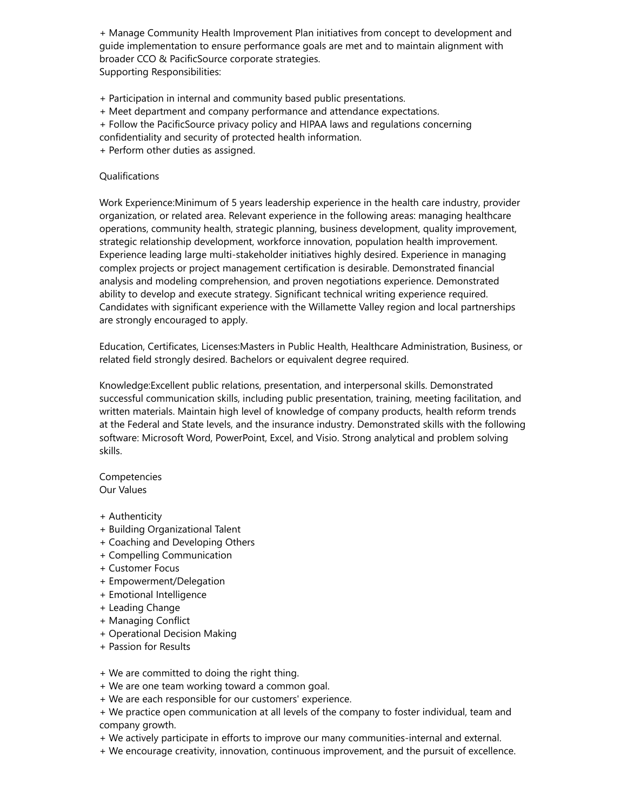+ Manage Community Health Improvement Plan initiatives from concept to development and guide implementation to ensure performance goals are met and to maintain alignment with broader CCO & PacificSource corporate strategies. Supporting Responsibilities:

- + Participation in internal and community based public presentations.
- + Meet department and company performance and attendance expectations.
- + Follow the PacificSource privacy policy and HIPAA laws and regulations concerning
- confidentiality and security of protected health information.
- + Perform other duties as assigned.

#### Qualifications

Work Experience:Minimum of 5 years leadership experience in the health care industry, provider organization, or related area. Relevant experience in the following areas: managing healthcare operations, community health, strategic planning, business development, quality improvement, strategic relationship development, workforce innovation, population health improvement. Experience leading large multi-stakeholder initiatives highly desired. Experience in managing complex projects or project management certification is desirable. Demonstrated financial analysis and modeling comprehension, and proven negotiations experience. Demonstrated ability to develop and execute strategy. Significant technical writing experience required. Candidates with significant experience with the Willamette Valley region and local partnerships are strongly encouraged to apply.

Education, Certificates, Licenses:Masters in Public Health, Healthcare Administration, Business, or related field strongly desired. Bachelors or equivalent degree required.

Knowledge:Excellent public relations, presentation, and interpersonal skills. Demonstrated successful communication skills, including public presentation, training, meeting facilitation, and written materials. Maintain high level of knowledge of company products, health reform trends at the Federal and State levels, and the insurance industry. Demonstrated skills with the following software: Microsoft Word, PowerPoint, Excel, and Visio. Strong analytical and problem solving skills.

Competencies Our Values

- + Authenticity
- + Building Organizational Talent
- + Coaching and Developing Others
- + Compelling Communication
- + Customer Focus
- + Empowerment/Delegation
- + Emotional Intelligence
- + Leading Change
- + Managing Conflict
- + Operational Decision Making
- + Passion for Results

+ We are committed to doing the right thing.

- + We are one team working toward a common goal.
- + We are each responsible for our customers' experience.
- + We practice open communication at all levels of the company to foster individual, team and company growth.
- + We actively participate in efforts to improve our many communities-internal and external.
- + We encourage creativity, innovation, continuous improvement, and the pursuit of excellence.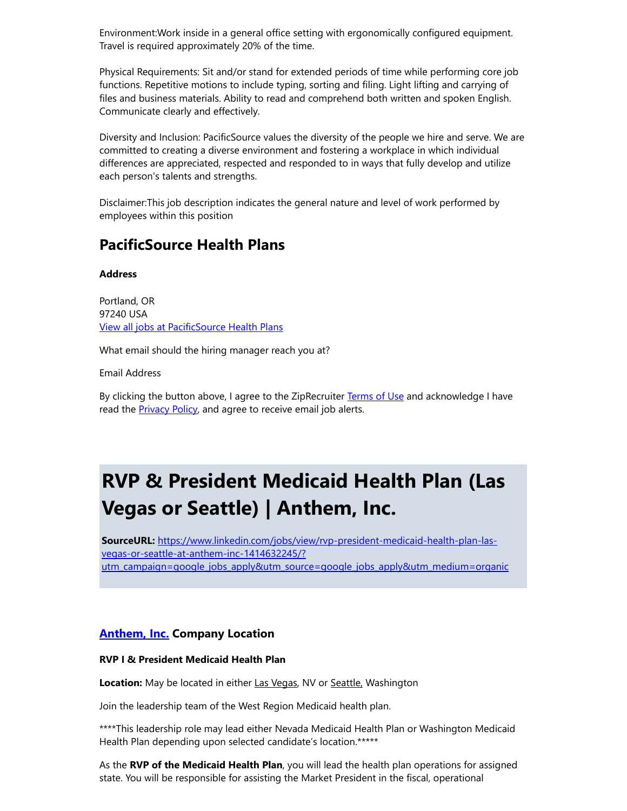Environment:Work inside in a general office setting with ergonomically configured equipment. Travel is required approximately 20% of the time.

Physical Requirements: Sit and/or stand for extended periods of time while performing core job functions. Repetitive motions to include typing, sorting and filing. Light lifting and carrying of files and business materials. Ability to read and comprehend both written and spoken English. Communicate clearly and effectively.

Diversity and Inclusion: PacificSource values the diversity of the people we hire and serve. We are committed to creating a diverse environment and fostering a workplace in which individual differences are appreciated, respected and responded to in ways that fully develop and utilize each person's talents and strengths.

Disclaimer:This job description indicates the general nature and level of work performed by employees within this position

### PacificSource Health Plans

#### **Address**

Portland, OR 97240 USA [View all jobs at PacificSource Health Plans](https://www.ziprecruiter.com/c/PacificSource-Health-Plans/Jobs)

What email should the hiring manager reach you at?

Email Address

By clicking the button above, I agree to the ZipRecruiter [Terms of Use](https://www.ziprecruiter.com/terms) and acknowledge I have read the **Privacy Policy**, and agree to receive email job alerts.

# RVP & President Medicaid Health Plan (Las Vegas or Seattle) | Anthem, Inc.

SourceURL: https://www.linkedin.com/jobs/view/rvp-president-medicaid-health-plan-lasvegas-or-seattle-at-anthem-inc-1414632245/? [utm\\_campaign=google\\_jobs\\_apply&utm\\_source=google\\_jobs\\_apply&utm\\_medium=organic](https://www.linkedin.com/jobs/view/rvp-president-medicaid-health-plan-las-vegas-or-seattle-at-anthem-inc-1414632245/?utm_campaign=google_jobs_apply%26utm_source=google_jobs_apply%26utm_medium=organic)

#### **[Anthem,](https://www.linkedin.com/company/2619/life/) Inc. Company Location**

#### RVP I & President Medicaid Health Plan

Location: May be located in either Las Vegas, NV or Seattle, Washington

Join the leadership team of the West Region Medicaid health plan.

\*\*\*\*This leadership role may lead either Nevada Medicaid Health Plan or Washington Medicaid Health Plan depending upon selected candidate's location.\*\*\*\*\*

As the RVP of the Medicaid Health Plan, you will lead the health plan operations for assigned state. You will be responsible for assisting the Market President in the fiscal, operational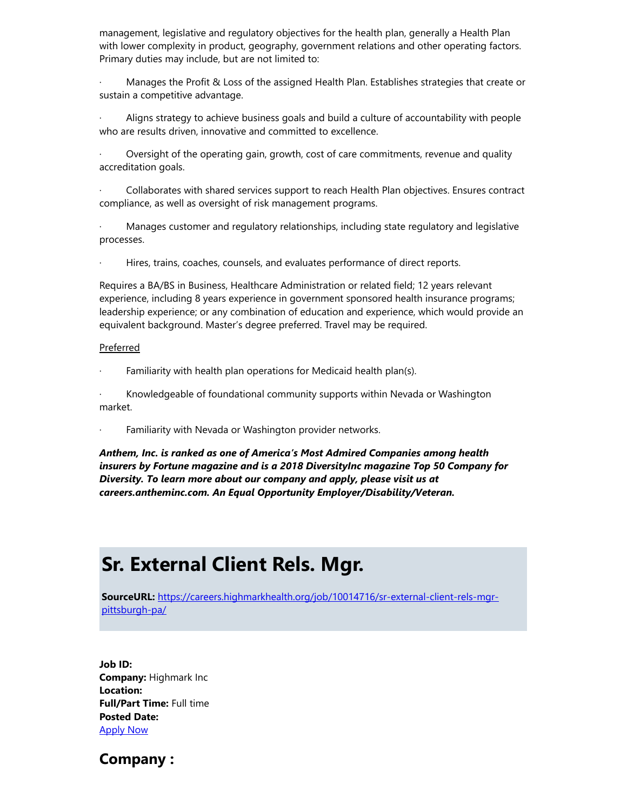management, legislative and regulatory objectives for the health plan, generally a Health Plan with lower complexity in product, geography, government relations and other operating factors. Primary duties may include, but are not limited to:

Manages the Profit & Loss of the assigned Health Plan. Establishes strategies that create or sustain a competitive advantage.

Aligns strategy to achieve business goals and build a culture of accountability with people who are results driven, innovative and committed to excellence.

Oversight of the operating gain, growth, cost of care commitments, revenue and quality accreditation goals.

Collaborates with shared services support to reach Health Plan objectives. Ensures contract compliance, as well as oversight of risk management programs.

· Manages customer and regulatory relationships, including state regulatory and legislative processes.

Hires, trains, coaches, counsels, and evaluates performance of direct reports.

Requires a BA/BS in Business, Healthcare Administration or related field; 12 years relevant experience, including 8 years experience in government sponsored health insurance programs; leadership experience; or any combination of education and experience, which would provide an equivalent background. Master's degree preferred. Travel may be required.

#### Preferred

Familiarity with health plan operations for Medicaid health plan(s).

· Knowledgeable of foundational community supports within Nevada or Washington market.

Familiarity with Nevada or Washington provider networks.

Anthem, Inc. is ranked as one of America's Most Admired Companies among health insurers by Fortune magazine and is a 2018 DiversityInc magazine Top 50 Company for Diversity. To learn more about our company and apply, please visit us at careers.antheminc.com. An Equal Opportunity Employer/Disability/Veteran.

### Sr. External Client Rels. Mgr.

SourceURL: [https://careers.highmarkhealth.org/job/10014716/sr-external-client-rels-mgr](https://careers.highmarkhealth.org/job/10014716/sr-external-client-rels-mgr-pittsburgh-pa/)pittsburgh-pa/

Job ID: Company: Highmark Inc Location: Full/Part Time: Full time Posted Date: [Apply Now](https://highmarkhealth.wd1.myworkdayjobs.com/highmark/job/PA---Pittsburgh--Surrounding-Areas/Sr-External-Client-Rels-Mgr_J150297/apply)

Company :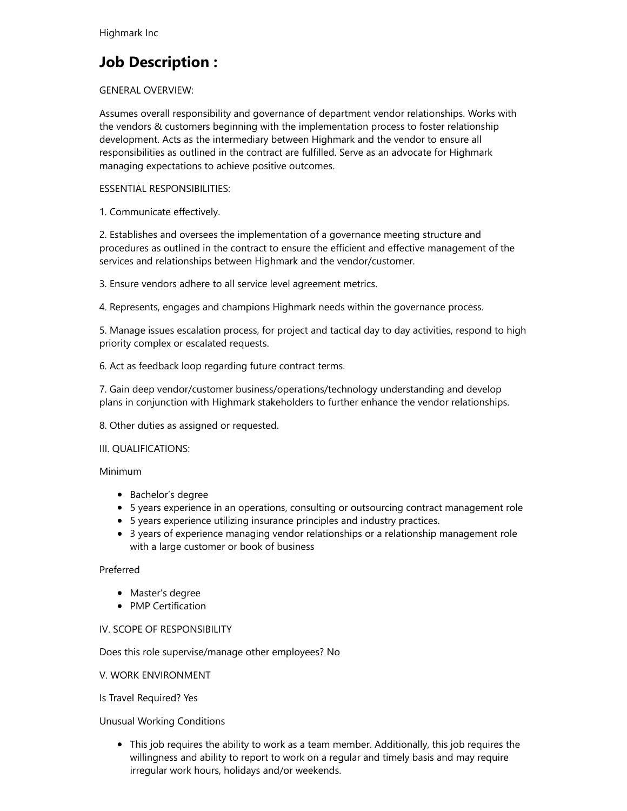### Job Description :

#### GENERAL OVERVIEW:

Assumes overall responsibility and governance of department vendor relationships. Works with the vendors & customers beginning with the implementation process to foster relationship development. Acts as the intermediary between Highmark and the vendor to ensure all responsibilities as outlined in the contract are fulfilled. Serve as an advocate for Highmark managing expectations to achieve positive outcomes.

#### ESSENTIAL RESPONSIBILITIES:

1. Communicate effectively.

2. Establishes and oversees the implementation of a governance meeting structure and procedures as outlined in the contract to ensure the efficient and effective management of the services and relationships between Highmark and the vendor/customer.

3. Ensure vendors adhere to all service level agreement metrics.

4. Represents, engages and champions Highmark needs within the governance process.

5. Manage issues escalation process, for project and tactical day to day activities, respond to high priority complex or escalated requests.

6. Act as feedback loop regarding future contract terms.

7. Gain deep vendor/customer business/operations/technology understanding and develop plans in conjunction with Highmark stakeholders to further enhance the vendor relationships.

8. Other duties as assigned or requested.

#### III. QUALIFICATIONS:

#### Minimum

- Bachelor's degree
- 5 years experience in an operations, consulting or outsourcing contract management role
- 5 years experience utilizing insurance principles and industry practices.
- 3 years of experience managing vendor relationships or a relationship management role with a large customer or book of business

#### Preferred

- Master's degree
- PMP Certification

#### IV. SCOPE OF RESPONSIBILITY

Does this role supervise/manage other employees? No

#### V. WORK ENVIRONMENT

Is Travel Required? Yes

#### Unusual Working Conditions

This job requires the ability to work as a team member. Additionally, this job requires the willingness and ability to report to work on a regular and timely basis and may require irregular work hours, holidays and/or weekends.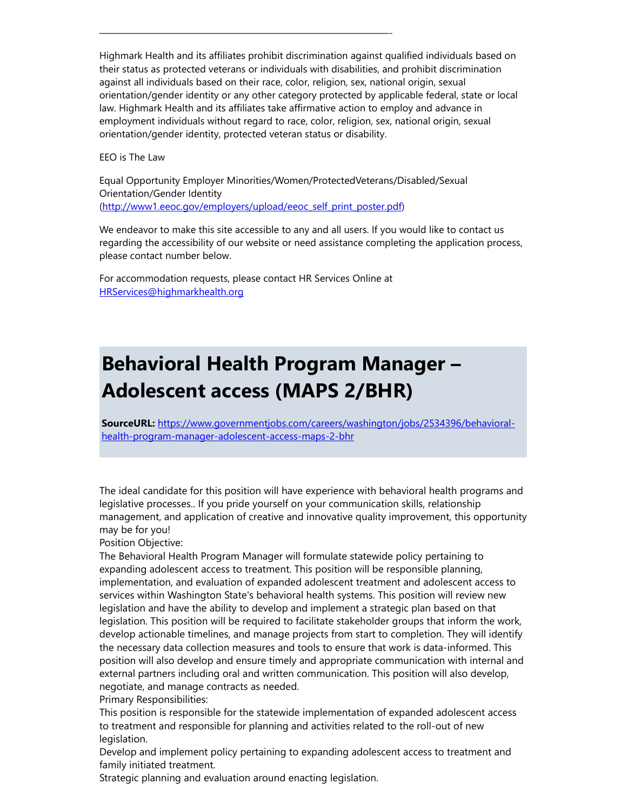Highmark Health and its affiliates prohibit discrimination against qualified individuals based on their status as protected veterans or individuals with disabilities, and prohibit discrimination against all individuals based on their race, color, religion, sex, national origin, sexual orientation/gender identity or any other category protected by applicable federal, state or local law. Highmark Health and its affiliates take affirmative action to employ and advance in employment individuals without regard to race, color, religion, sex, national origin, sexual orientation/gender identity, protected veteran status or disability.

EEO is The Law

Equal Opportunity Employer Minorities/Women/ProtectedVeterans/Disabled/Sexual Orientation/Gender Identity ([http://www1.eeoc.gov/employers/upload/eeoc\\_self\\_print\\_poster.pdf\)](http://www1.eeoc.gov/employers/upload/eeoc_self_print_poster.pdf)

We endeavor to make this site accessible to any and all users. If you would like to contact us regarding the accessibility of our website or need assistance completing the application process, please contact number below.

For accommodation requests, please contact HR Services Online at [HRServices@highmarkhealth.org](https://careers.highmarkhealth.org/job/10014716/sr-external-client-rels-mgr-pittsburgh-pa/mailto:HRServices%40highmarkhealth.org)

—————————————————————————————-

# Behavioral Health Program Manager – Adolescent access (MAPS 2/BHR)

SourceURL: [https://www.governmentjobs.com/careers/washington/jobs/2534396/behavioral](https://www.governmentjobs.com/careers/washington/jobs/2534396/behavioral-health-program-manager-adolescent-access-maps-2-bhr)health-program-manager-adolescent-access-maps-2-bhr

The ideal candidate for this position will have experience with behavioral health programs and legislative processes.. If you pride yourself on your communication skills, relationship management, and application of creative and innovative quality improvement, this opportunity may be for you!

Position Objective:

The Behavioral Health Program Manager will formulate statewide policy pertaining to expanding adolescent access to treatment. This position will be responsible planning, implementation, and evaluation of expanded adolescent treatment and adolescent access to services within Washington State's behavioral health systems. This position will review new legislation and have the ability to develop and implement a strategic plan based on that legislation. This position will be required to facilitate stakeholder groups that inform the work, develop actionable timelines, and manage projects from start to completion. They will identify the necessary data collection measures and tools to ensure that work is data-informed. This position will also develop and ensure timely and appropriate communication with internal and external partners including oral and written communication. This position will also develop, negotiate, and manage contracts as needed.

Primary Responsibilities:

This position is responsible for the statewide implementation of expanded adolescent access to treatment and responsible for planning and activities related to the roll-out of new legislation.

Develop and implement policy pertaining to expanding adolescent access to treatment and family initiated treatment.

Strategic planning and evaluation around enacting legislation.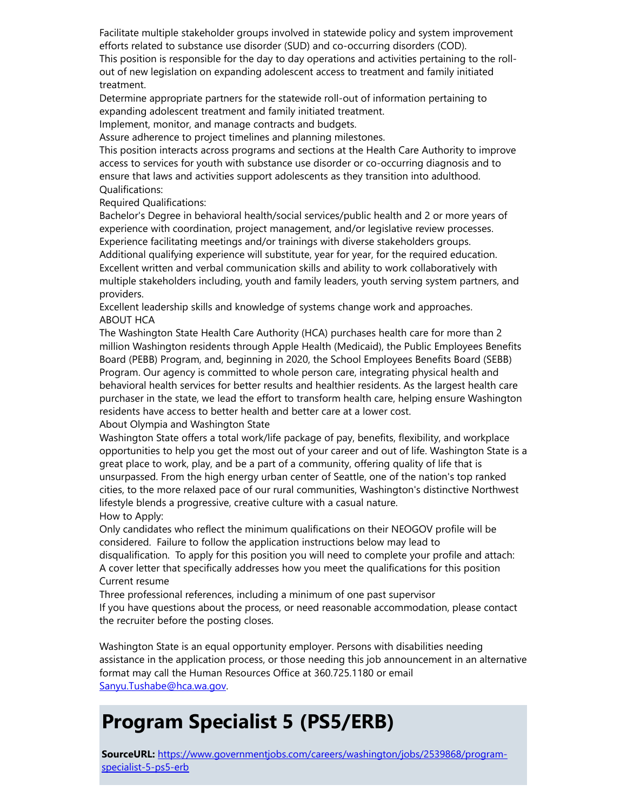Facilitate multiple stakeholder groups involved in statewide policy and system improvement efforts related to substance use disorder (SUD) and co-occurring disorders (COD). This position is responsible for the day to day operations and activities pertaining to the rollout of new legislation on expanding adolescent access to treatment and family initiated treatment.

Determine appropriate partners for the statewide roll-out of information pertaining to expanding adolescent treatment and family initiated treatment.

Implement, monitor, and manage contracts and budgets.

Assure adherence to project timelines and planning milestones.

This position interacts across programs and sections at the Health Care Authority to improve access to services for youth with substance use disorder or co-occurring diagnosis and to ensure that laws and activities support adolescents as they transition into adulthood. Qualifications:

Required Qualifications:

Bachelor's Degree in behavioral health/social services/public health and 2 or more years of experience with coordination, project management, and/or legislative review processes. Experience facilitating meetings and/or trainings with diverse stakeholders groups. Additional qualifying experience will substitute, year for year, for the required education. Excellent written and verbal communication skills and ability to work collaboratively with multiple stakeholders including, youth and family leaders, youth serving system partners, and providers.

Excellent leadership skills and knowledge of systems change work and approaches. ABOUT HCA

The Washington State Health Care Authority (HCA) purchases health care for more than 2 million Washington residents through Apple Health (Medicaid), the Public Employees Benefits Board (PEBB) Program, and, beginning in 2020, the School Employees Benefits Board (SEBB) Program. Our agency is committed to whole person care, integrating physical health and behavioral health services for better results and healthier residents. As the largest health care purchaser in the state, we lead the effort to transform health care, helping ensure Washington residents have access to better health and better care at a lower cost.

About Olympia and Washington State

Washington State offers a total work/life package of pay, benefits, flexibility, and workplace opportunities to help you get the most out of your career and out of life. Washington State is a great place to work, play, and be a part of a community, offering quality of life that is unsurpassed. From the high energy urban center of Seattle, one of the nation's top ranked cities, to the more relaxed pace of our rural communities, Washington's distinctive Northwest lifestyle blends a progressive, creative culture with a casual nature. How to Apply:

Only candidates who reflect the minimum qualifications on their NEOGOV profile will be considered. Failure to follow the application instructions below may lead to disqualification. To apply for this position you will need to complete your profile and attach: A cover letter that specifically addresses how you meet the qualifications for this position Current resume

Three professional references, including a minimum of one past supervisor If you have questions about the process, or need reasonable accommodation, please contact the recruiter before the posting closes.

Washington State is an equal opportunity employer. Persons with disabilities needing assistance in the application process, or those needing this job announcement in an alternative format may call the Human Resources Office at 360.725.1180 or email [Sanyu.Tushabe@hca.wa.gov.](mailto:Sanyu.Tushabe@hca.wa.gov)

## Program Specialist 5 (PS5/ERB)

SourceURL: [https://www.governmentjobs.com/careers/washington/jobs/2539868/program](https://www.governmentjobs.com/careers/washington/jobs/2539868/program-specialist-5-ps5-erb)specialist-5-ps5-erb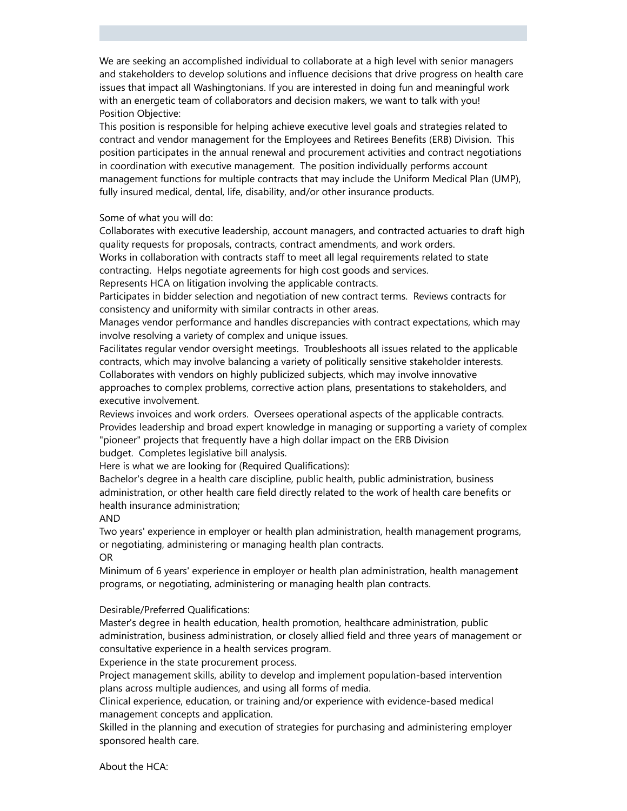We are seeking an accomplished individual to collaborate at a high level with senior managers and stakeholders to develop solutions and influence decisions that drive progress on health care issues that impact all Washingtonians. If you are interested in doing fun and meaningful work with an energetic team of collaborators and decision makers, we want to talk with you! Position Objective:

This position is responsible for helping achieve executive level goals and strategies related to contract and vendor management for the Employees and Retirees Benefits (ERB) Division. This position participates in the annual renewal and procurement activities and contract negotiations in coordination with executive management. The position individually performs account management functions for multiple contracts that may include the Uniform Medical Plan (UMP), fully insured medical, dental, life, disability, and/or other insurance products.

Some of what you will do:

Collaborates with executive leadership, account managers, and contracted actuaries to draft high quality requests for proposals, contracts, contract amendments, and work orders.

Works in collaboration with contracts staff to meet all legal requirements related to state contracting. Helps negotiate agreements for high cost goods and services.

Represents HCA on litigation involving the applicable contracts.

Participates in bidder selection and negotiation of new contract terms. Reviews contracts for consistency and uniformity with similar contracts in other areas.

Manages vendor performance and handles discrepancies with contract expectations, which may involve resolving a variety of complex and unique issues.

Facilitates regular vendor oversight meetings. Troubleshoots all issues related to the applicable contracts, which may involve balancing a variety of politically sensitive stakeholder interests. Collaborates with vendors on highly publicized subjects, which may involve innovative approaches to complex problems, corrective action plans, presentations to stakeholders, and executive involvement.

Reviews invoices and work orders. Oversees operational aspects of the applicable contracts. Provides leadership and broad expert knowledge in managing or supporting a variety of complex "pioneer" projects that frequently have a high dollar impact on the ERB Division

budget. Completes legislative bill analysis.

Here is what we are looking for (Required Qualifications):

Bachelor's degree in a health care discipline, public health, public administration, business administration, or other health care field directly related to the work of health care benefits or health insurance administration;

AND

Two years' experience in employer or health plan administration, health management programs, or negotiating, administering or managing health plan contracts. OR

Minimum of 6 years' experience in employer or health plan administration, health management programs, or negotiating, administering or managing health plan contracts.

Desirable/Preferred Qualifications:

Master's degree in health education, health promotion, healthcare administration, public administration, business administration, or closely allied field and three years of management or consultative experience in a health services program.

Experience in the state procurement process.

Project management skills, ability to develop and implement population-based intervention plans across multiple audiences, and using all forms of media.

Clinical experience, education, or training and/or experience with evidence-based medical management concepts and application.

Skilled in the planning and execution of strategies for purchasing and administering employer sponsored health care.

About the HCA: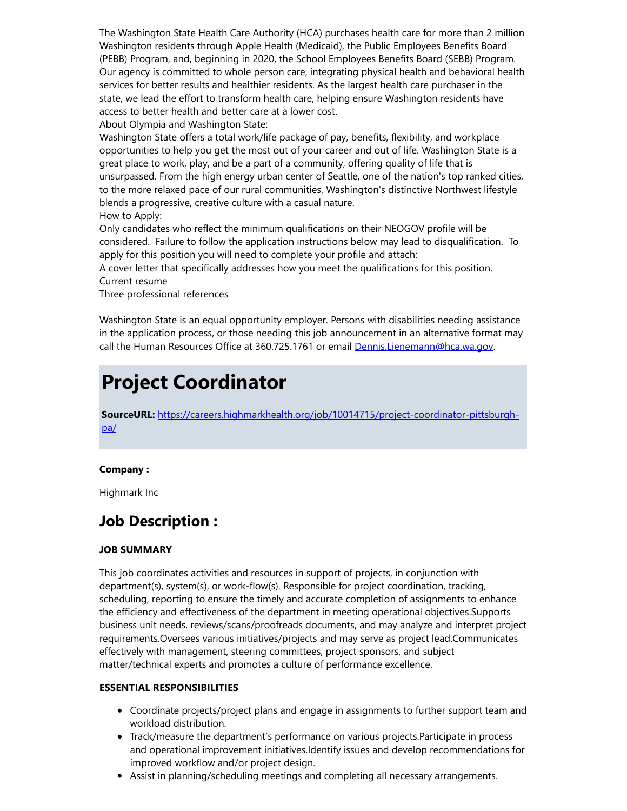The Washington State Health Care Authority (HCA) purchases health care for more than 2 million Washington residents through Apple Health (Medicaid), the Public Employees Benefits Board (PEBB) Program, and, beginning in 2020, the School Employees Benefits Board (SEBB) Program. Our agency is committed to whole person care, integrating physical health and behavioral health services for better results and healthier residents. As the largest health care purchaser in the state, we lead the effort to transform health care, helping ensure Washington residents have access to better health and better care at a lower cost.

About Olympia and Washington State:

Washington State offers a total work/life package of pay, benefits, flexibility, and workplace opportunities to help you get the most out of your career and out of life. Washington State is a great place to work, play, and be a part of a community, offering quality of life that is unsurpassed. From the high energy urban center of Seattle, one of the nation's top ranked cities, to the more relaxed pace of our rural communities, Washington's distinctive Northwest lifestyle blends a progressive, creative culture with a casual nature. How to Apply:

Only candidates who reflect the minimum qualifications on their NEOGOV profile will be considered. Failure to follow the application instructions below may lead to disqualification. To apply for this position you will need to complete your profile and attach:

A cover letter that specifically addresses how you meet the qualifications for this position. Current resume

Three professional references

Washington State is an equal opportunity employer. Persons with disabilities needing assistance in the application process, or those needing this job announcement in an alternative format may call the Human Resources Office at 360.725.1761 or email [Dennis.Lienemann@hca.wa.gov.](mailto:Dennis.Lienemann@hca.wa.gov)

## Project Coordinator

SourceURL: [https://careers.highmarkhealth.org/job/10014715/project-coordinator-pittsburgh](https://careers.highmarkhealth.org/job/10014715/project-coordinator-pittsburgh-pa/)pa/

#### Company :

Highmark Inc

### Job Description :

#### JOB SUMMARY

This job coordinates activities and resources in support of projects, in conjunction with department(s), system(s), or work-flow(s). Responsible for project coordination, tracking, scheduling, reporting to ensure the timely and accurate completion of assignments to enhance the efficiency and effectiveness of the department in meeting operational objectives.Supports business unit needs, reviews/scans/proofreads documents, and may analyze and interpret project requirements.Oversees various initiatives/projects and may serve as project lead.Communicates effectively with management, steering committees, project sponsors, and subject matter/technical experts and promotes a culture of performance excellence.

#### ESSENTIAL RESPONSIBILITIES

- Coordinate projects/project plans and engage in assignments to further support team and workload distribution.
- Track/measure the department's performance on various projects.Participate in process and operational improvement initiatives.Identify issues and develop recommendations for improved workflow and/or project design.
- Assist in planning/scheduling meetings and completing all necessary arrangements.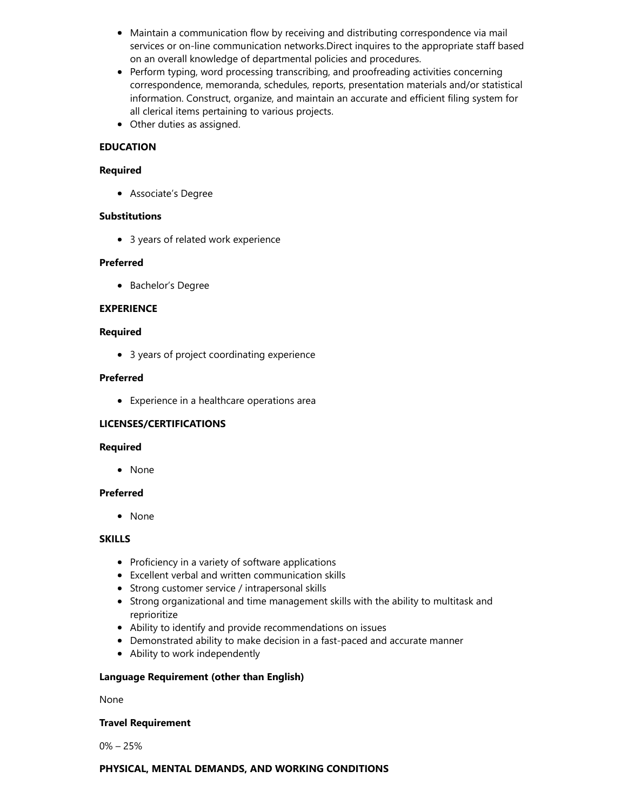- Maintain a communication flow by receiving and distributing correspondence via mail services or on-line communication networks.Direct inquires to the appropriate staff based on an overall knowledge of departmental policies and procedures.
- Perform typing, word processing transcribing, and proofreading activities concerning correspondence, memoranda, schedules, reports, presentation materials and/or statistical information. Construct, organize, and maintain an accurate and efficient filing system for all clerical items pertaining to various projects.
- Other duties as assigned.

#### EDUCATION

#### Required

Associate's Degree

#### **Substitutions**

3 years of related work experience

#### Preferred

• Bachelor's Degree

#### EXPERIENCE

#### Required

3 years of project coordinating experience

#### Preferred

Experience in a healthcare operations area

#### LICENSES/CERTIFICATIONS

#### Required

None

#### Preferred

None

#### **SKILLS**

- Proficiency in a variety of software applications
- Excellent verbal and written communication skills
- Strong customer service / intrapersonal skills
- Strong organizational and time management skills with the ability to multitask and reprioritize
- Ability to identify and provide recommendations on issues
- Demonstrated ability to make decision in a fast-paced and accurate manner
- Ability to work independently

#### Language Requirement (other than English)

#### None

#### Travel Requirement

0% – 25%

#### PHYSICAL, MENTAL DEMANDS, AND WORKING CONDITIONS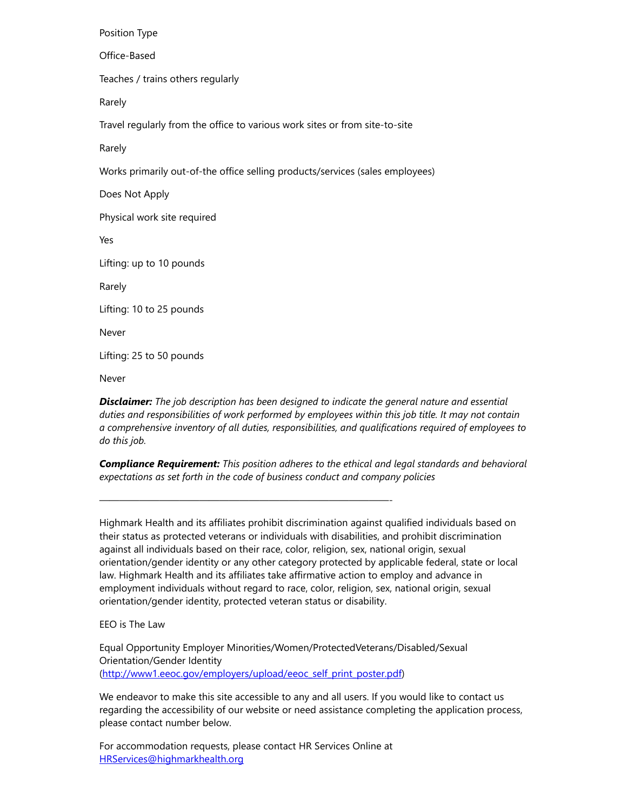Position Type Office-Based Teaches / trains others regularly Rarely Travel regularly from the office to various work sites or from site-to-site Rarely Works primarily out-of-the office selling products/services (sales employees) Does Not Apply Physical work site required Yes Lifting: up to 10 pounds Rarely Lifting: 10 to 25 pounds Never Lifting: 25 to 50 pounds Never

**Disclaimer:** The job description has been designed to indicate the general nature and essential duties and responsibilities of work performed by employees within this job title. It may not contain a comprehensive inventory of all duties, responsibilities, and qualifications required of employees to do this job.

**Compliance Requirement:** This position adheres to the ethical and legal standards and behavioral expectations as set forth in the code of business conduct and company policies

Highmark Health and its affiliates prohibit discrimination against qualified individuals based on their status as protected veterans or individuals with disabilities, and prohibit discrimination against all individuals based on their race, color, religion, sex, national origin, sexual orientation/gender identity or any other category protected by applicable federal, state or local law. Highmark Health and its affiliates take affirmative action to employ and advance in employment individuals without regard to race, color, religion, sex, national origin, sexual orientation/gender identity, protected veteran status or disability.

EEO is The Law

Equal Opportunity Employer Minorities/Women/ProtectedVeterans/Disabled/Sexual Orientation/Gender Identity ([http://www1.eeoc.gov/employers/upload/eeoc\\_self\\_print\\_poster.pdf\)](http://www1.eeoc.gov/employers/upload/eeoc_self_print_poster.pdf)

We endeavor to make this site accessible to any and all users. If you would like to contact us regarding the accessibility of our website or need assistance completing the application process, please contact number below.

For accommodation requests, please contact HR Services Online at [HRServices@highmarkhealth.org](https://careers.highmarkhealth.org/job/10014715/project-coordinator-pittsburgh-pa/mailto:HRServices%40highmarkhealth.org)

—————————————————————————————-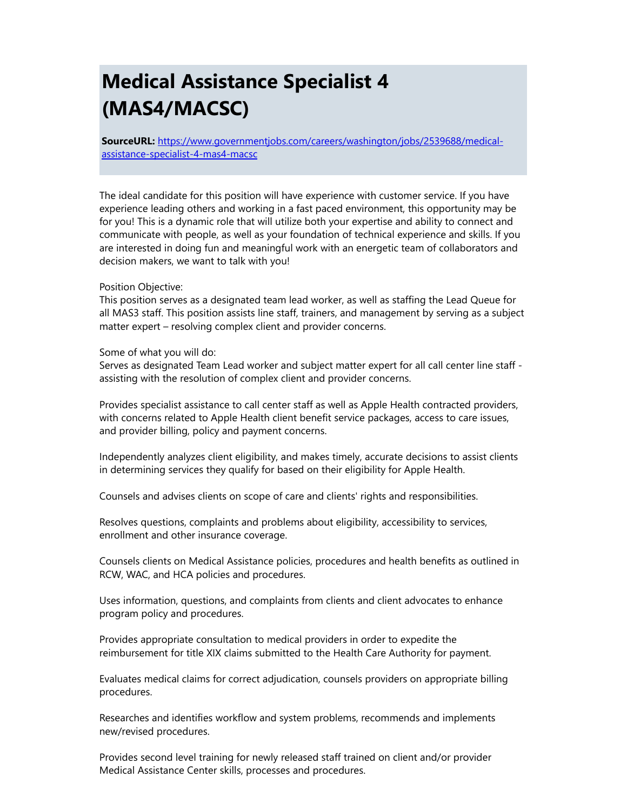# Medical Assistance Specialist 4 (MAS4/MACSC)

SourceURL: [https://www.governmentjobs.com/careers/washington/jobs/2539688/medical](https://www.governmentjobs.com/careers/washington/jobs/2539688/medical-assistance-specialist-4-mas4-macsc)assistance-specialist-4-mas4-macsc

The ideal candidate for this position will have experience with customer service. If you have experience leading others and working in a fast paced environment, this opportunity may be for you! This is a dynamic role that will utilize both your expertise and ability to connect and communicate with people, as well as your foundation of technical experience and skills. If you are interested in doing fun and meaningful work with an energetic team of collaborators and decision makers, we want to talk with you!

#### Position Objective:

This position serves as a designated team lead worker, as well as staffing the Lead Queue for all MAS3 staff. This position assists line staff, trainers, and management by serving as a subject matter expert – resolving complex client and provider concerns.

Some of what you will do:

Serves as designated Team Lead worker and subject matter expert for all call center line staff assisting with the resolution of complex client and provider concerns.

Provides specialist assistance to call center staff as well as Apple Health contracted providers, with concerns related to Apple Health client benefit service packages, access to care issues, and provider billing, policy and payment concerns.

Independently analyzes client eligibility, and makes timely, accurate decisions to assist clients in determining services they qualify for based on their eligibility for Apple Health.

Counsels and advises clients on scope of care and clients' rights and responsibilities.

Resolves questions, complaints and problems about eligibility, accessibility to services, enrollment and other insurance coverage.

Counsels clients on Medical Assistance policies, procedures and health benefits as outlined in RCW, WAC, and HCA policies and procedures.

Uses information, questions, and complaints from clients and client advocates to enhance program policy and procedures.

Provides appropriate consultation to medical providers in order to expedite the reimbursement for title XIX claims submitted to the Health Care Authority for payment.

Evaluates medical claims for correct adjudication, counsels providers on appropriate billing procedures.

Researches and identifies workflow and system problems, recommends and implements new/revised procedures.

Provides second level training for newly released staff trained on client and/or provider Medical Assistance Center skills, processes and procedures.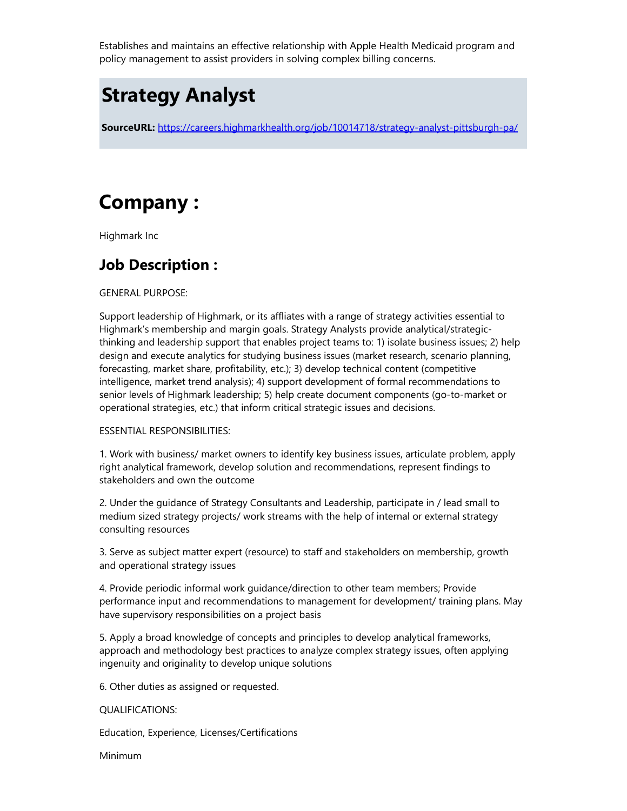Establishes and maintains an effective relationship with Apple Health Medicaid program and policy management to assist providers in solving complex billing concerns.

### Strategy Analyst

SourceURL: <https://careers.highmarkhealth.org/job/10014718/strategy-analyst-pittsburgh-pa/>

# Company :

Highmark Inc

### Job Description :

GENERAL PURPOSE:

Support leadership of Highmark, or its affliates with a range of strategy activities essential to Highmark's membership and margin goals. Strategy Analysts provide analytical/strategicthinking and leadership support that enables project teams to: 1) isolate business issues; 2) help design and execute analytics for studying business issues (market research, scenario planning, forecasting, market share, profitability, etc.); 3) develop technical content (competitive intelligence, market trend analysis); 4) support development of formal recommendations to senior levels of Highmark leadership; 5) help create document components (go-to-market or operational strategies, etc.) that inform critical strategic issues and decisions.

#### ESSENTIAL RESPONSIBILITIES:

1. Work with business/ market owners to identify key business issues, articulate problem, apply right analytical framework, develop solution and recommendations, represent findings to stakeholders and own the outcome

2. Under the guidance of Strategy Consultants and Leadership, participate in / lead small to medium sized strategy projects/ work streams with the help of internal or external strategy consulting resources

3. Serve as subject matter expert (resource) to staff and stakeholders on membership, growth and operational strategy issues

4. Provide periodic informal work guidance/direction to other team members; Provide performance input and recommendations to management for development/ training plans. May have supervisory responsibilities on a project basis

5. Apply a broad knowledge of concepts and principles to develop analytical frameworks, approach and methodology best practices to analyze complex strategy issues, often applying ingenuity and originality to develop unique solutions

6. Other duties as assigned or requested.

#### QUALIFICATIONS:

Education, Experience, Licenses/Certifications

Minimum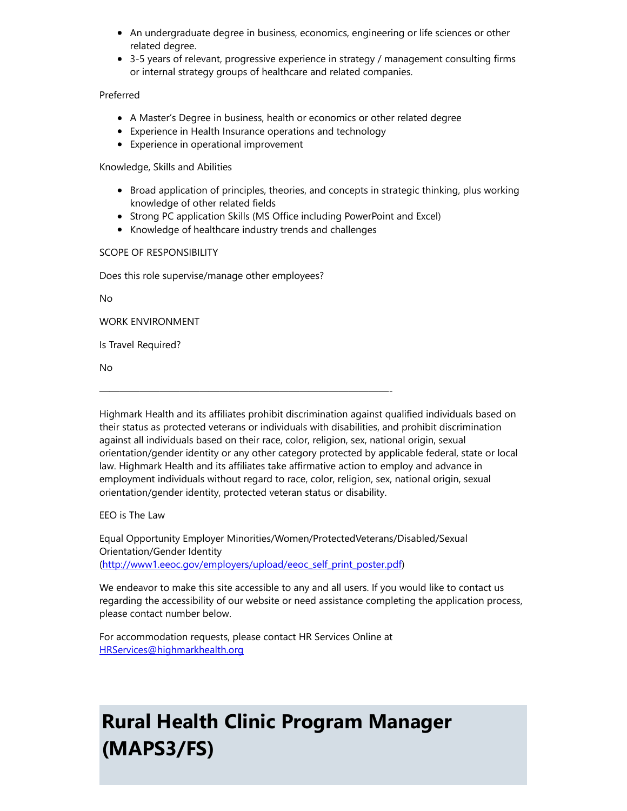- An undergraduate degree in business, economics, engineering or life sciences or other related degree.
- 3-5 years of relevant, progressive experience in strategy / management consulting firms or internal strategy groups of healthcare and related companies.

#### Preferred

- A Master's Degree in business, health or economics or other related degree
- Experience in Health Insurance operations and technology
- Experience in operational improvement

Knowledge, Skills and Abilities

- **Broad application of principles, theories, and concepts in strategic thinking, plus working** knowledge of other related fields
- Strong PC application Skills (MS Office including PowerPoint and Excel)
- Knowledge of healthcare industry trends and challenges

—————————————————————————————-

#### SCOPE OF RESPONSIBILITY

Does this role supervise/manage other employees?

No

WORK ENVIRONMENT

Is Travel Required?

No

Highmark Health and its affiliates prohibit discrimination against qualified individuals based on their status as protected veterans or individuals with disabilities, and prohibit discrimination against all individuals based on their race, color, religion, sex, national origin, sexual orientation/gender identity or any other category protected by applicable federal, state or local law. Highmark Health and its affiliates take affirmative action to employ and advance in employment individuals without regard to race, color, religion, sex, national origin, sexual orientation/gender identity, protected veteran status or disability.

EEO is The Law

Equal Opportunity Employer Minorities/Women/ProtectedVeterans/Disabled/Sexual Orientation/Gender Identity ([http://www1.eeoc.gov/employers/upload/eeoc\\_self\\_print\\_poster.pdf\)](http://www1.eeoc.gov/employers/upload/eeoc_self_print_poster.pdf)

We endeavor to make this site accessible to any and all users. If you would like to contact us regarding the accessibility of our website or need assistance completing the application process, please contact number below.

For accommodation requests, please contact HR Services Online at [HRServices@highmarkhealth.org](https://careers.highmarkhealth.org/job/10014718/strategy-analyst-pittsburgh-pa/mailto:HRServices%40highmarkhealth.org)

# Rural Health Clinic Program Manager (MAPS3/FS)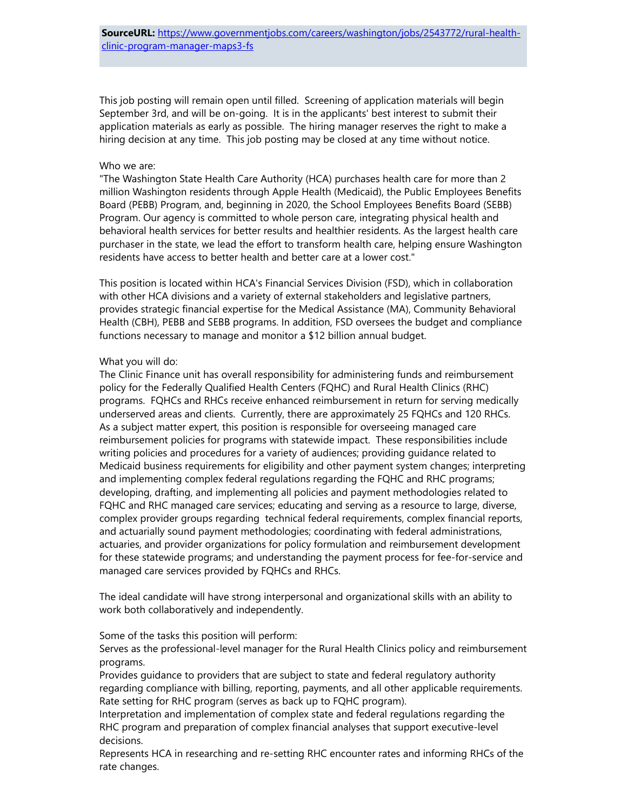This job posting will remain open until filled. Screening of application materials will begin September 3rd, and will be on-going. It is in the applicants' best interest to submit their application materials as early as possible. The hiring manager reserves the right to make a hiring decision at any time. This job posting may be closed at any time without notice.

#### Who we are:

"The Washington State Health Care Authority (HCA) purchases health care for more than 2 million Washington residents through Apple Health (Medicaid), the Public Employees Benefits Board (PEBB) Program, and, beginning in 2020, the School Employees Benefits Board (SEBB) Program. Our agency is committed to whole person care, integrating physical health and behavioral health services for better results and healthier residents. As the largest health care purchaser in the state, we lead the effort to transform health care, helping ensure Washington residents have access to better health and better care at a lower cost."

This position is located within HCA's Financial Services Division (FSD), which in collaboration with other HCA divisions and a variety of external stakeholders and legislative partners, provides strategic financial expertise for the Medical Assistance (MA), Community Behavioral Health (CBH), PEBB and SEBB programs. In addition, FSD oversees the budget and compliance functions necessary to manage and monitor a \$12 billion annual budget.

#### What you will do:

The Clinic Finance unit has overall responsibility for administering funds and reimbursement policy for the Federally Qualified Health Centers (FQHC) and Rural Health Clinics (RHC) programs. FQHCs and RHCs receive enhanced reimbursement in return for serving medically underserved areas and clients. Currently, there are approximately 25 FQHCs and 120 RHCs. As a subject matter expert, this position is responsible for overseeing managed care reimbursement policies for programs with statewide impact. These responsibilities include writing policies and procedures for a variety of audiences; providing guidance related to Medicaid business requirements for eligibility and other payment system changes; interpreting and implementing complex federal regulations regarding the FQHC and RHC programs; developing, drafting, and implementing all policies and payment methodologies related to FQHC and RHC managed care services; educating and serving as a resource to large, diverse, complex provider groups regarding technical federal requirements, complex financial reports, and actuarially sound payment methodologies; coordinating with federal administrations, actuaries, and provider organizations for policy formulation and reimbursement development for these statewide programs; and understanding the payment process for fee-for-service and managed care services provided by FQHCs and RHCs.

The ideal candidate will have strong interpersonal and organizational skills with an ability to work both collaboratively and independently.

Some of the tasks this position will perform:

Serves as the professional-level manager for the Rural Health Clinics policy and reimbursement programs.

Provides guidance to providers that are subject to state and federal regulatory authority regarding compliance with billing, reporting, payments, and all other applicable requirements. Rate setting for RHC program (serves as back up to FQHC program).

Interpretation and implementation of complex state and federal regulations regarding the RHC program and preparation of complex financial analyses that support executive-level decisions.

Represents HCA in researching and re-setting RHC encounter rates and informing RHCs of the rate changes.